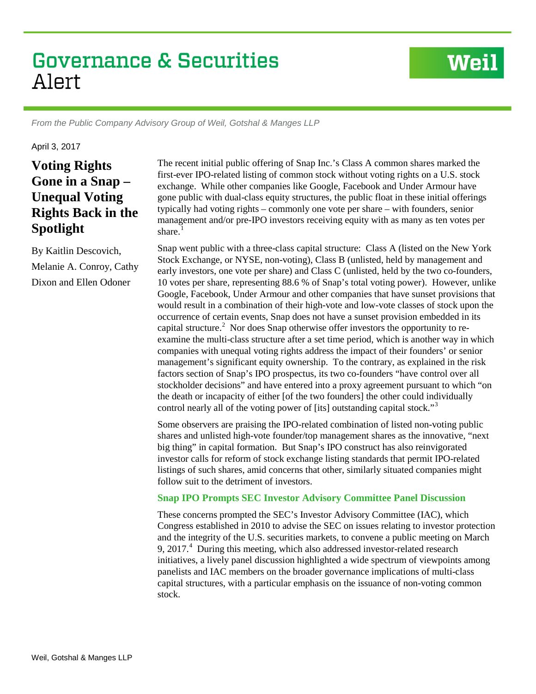# **Governance & Securities** Alert

*From the Public Company Advisory Group of Weil, Gotshal & Manges LLP*

April 3, 2017

# **Voting Rights Gone in a Snap – Unequal Voting Rights Back in the Spotlight**

By Kaitlin Descovich, Melanie A. Conroy, Cathy Dixon and Ellen Odoner

The recent initial public offering of Snap Inc.'s Class A common shares marked the first-ever IPO-related listing of common stock without voting rights on a U.S. stock exchange. While other companies like Google, Facebook and Under Armour have gone public with dual-class equity structures, the public float in these initial offerings typically had voting rights – commonly one vote per share – with founders, senior management and/or pre-IPO investors receiving equity with as many as ten votes per share. $1$ 

**Weil** 

Snap went public with a three-class capital structure: Class A (listed on the New York Stock Exchange, or NYSE, non-voting), Class B (unlisted, held by management and early investors, one vote per share) and Class C (unlisted, held by the two co-founders, 10 votes per share, representing 88.6 % of Snap's total voting power). However, unlike Google, Facebook, Under Armour and other companies that have sunset provisions that would result in a combination of their high-vote and low-vote classes of stock upon the occurrence of certain events, Snap does not have a sunset provision embedded in its capital structure.<sup>[2](#page-5-1)</sup> Nor does Snap otherwise offer investors the opportunity to reexamine the multi-class structure after a set time period, which is another way in which companies with unequal voting rights address the impact of their founders' or senior management's significant equity ownership. To the contrary, as explained in the risk factors section of Snap's IPO prospectus, its two co-founders "have control over all stockholder decisions" and have entered into a proxy agreement pursuant to which "on the death or incapacity of either [of the two founders] the other could individually control nearly all of the voting power of [its] outstanding capital stock."<sup>[3](#page-5-2)</sup>

Some observers are praising the IPO-related combination of listed non-voting public shares and unlisted high-vote founder/top management shares as the innovative, "next big thing" in capital formation. But Snap's IPO construct has also reinvigorated investor calls for reform of stock exchange listing standards that permit IPO-related listings of such shares, amid concerns that other, similarly situated companies might follow suit to the detriment of investors.

#### **Snap IPO Prompts SEC Investor Advisory Committee Panel Discussion**

These concerns prompted the SEC's Investor Advisory Committee (IAC), which Congress established in 2010 to advise the SEC on issues relating to investor protection and the integrity of the U.S. securities markets, to convene a public meeting on March 9, 2017.<sup>[4](#page-5-3)</sup> During this meeting, which also addressed investor-related research initiatives, a lively panel discussion highlighted a wide spectrum of viewpoints among panelists and IAC members on the broader governance implications of multi-class capital structures, with a particular emphasis on the issuance of non-voting common stock.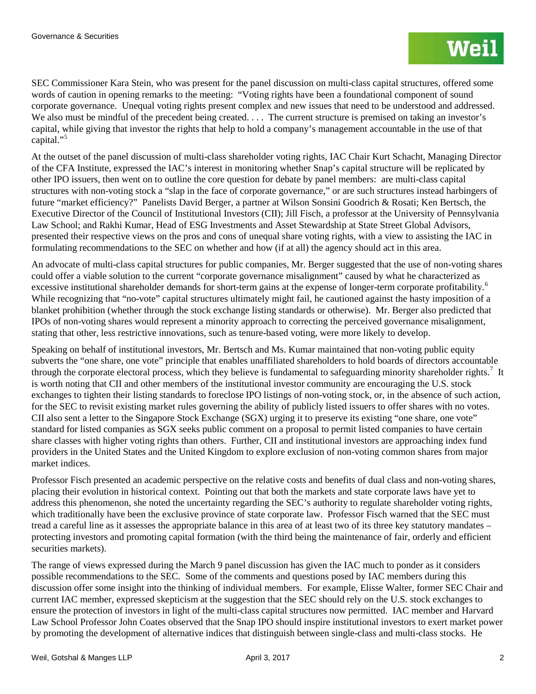SEC Commissioner Kara Stein, who was present for the panel discussion on multi-class capital structures, offered some words of caution in opening remarks to the meeting: "Voting rights have been a foundational component of sound corporate governance. Unequal voting rights present complex and new issues that need to be understood and addressed. We also must be mindful of the precedent being created. . . . The current structure is premised on taking an investor's capital, while giving that investor the rights that help to hold a company's management accountable in the use of that capital."<sup>[5](#page-5-4)</sup>

At the outset of the panel discussion of multi-class shareholder voting rights, IAC Chair Kurt Schacht, Managing Director of the CFA Institute, expressed the IAC's interest in monitoring whether Snap's capital structure will be replicated by other IPO issuers, then went on to outline the core question for debate by panel members: are multi-class capital structures with non-voting stock a "slap in the face of corporate governance," or are such structures instead harbingers of future "market efficiency?" Panelists David Berger, a partner at Wilson Sonsini Goodrich & Rosati; Ken Bertsch, the Executive Director of the Council of Institutional Investors (CII); Jill Fisch, a professor at the University of Pennsylvania Law School; and Rakhi Kumar, Head of ESG Investments and Asset Stewardship at State Street Global Advisors, presented their respective views on the pros and cons of unequal share voting rights, with a view to assisting the IAC in formulating recommendations to the SEC on whether and how (if at all) the agency should act in this area.

An advocate of multi-class capital structures for public companies, Mr. Berger suggested that the use of non-voting shares could offer a viable solution to the current "corporate governance misalignment" caused by what he characterized as excessive institutional shareholder demands for short-term gains at the expense of longer-term corporate profitability.<sup>[6](#page-5-5)</sup> While recognizing that "no-vote" capital structures ultimately might fail, he cautioned against the hasty imposition of a blanket prohibition (whether through the stock exchange listing standards or otherwise). Mr. Berger also predicted that IPOs of non-voting shares would represent a minority approach to correcting the perceived governance misalignment, stating that other, less restrictive innovations, such as tenure-based voting, were more likely to develop.

Speaking on behalf of institutional investors, Mr. Bertsch and Ms. Kumar maintained that non-voting public equity subverts the "one share, one vote" principle that enables unaffiliated shareholders to hold boards of directors accountable through the corporate electoral process, which they believe is fundamental to safeguarding minority shareholder rights.<sup>[7](#page-5-6)</sup> It is worth noting that CII and other members of the institutional investor community are encouraging the U.S. stock exchanges to tighten their listing standards to foreclose IPO listings of non-voting stock, or, in the absence of such action, for the SEC to revisit existing market rules governing the ability of publicly listed issuers to offer shares with no votes. CII also sent a letter to the Singapore Stock Exchange (SGX) urging it to preserve its existing "one share, one vote" standard for listed companies as SGX seeks public comment on a proposal to permit listed companies to have certain share classes with higher voting rights than others. Further, CII and institutional investors are approaching index fund providers in the United States and the United Kingdom to explore exclusion of non-voting common shares from major market indices.

Professor Fisch presented an academic perspective on the relative costs and benefits of dual class and non-voting shares, placing their evolution in historical context. Pointing out that both the markets and state corporate laws have yet to address this phenomenon, she noted the uncertainty regarding the SEC's authority to regulate shareholder voting rights, which traditionally have been the exclusive province of state corporate law. Professor Fisch warned that the SEC must tread a careful line as it assesses the appropriate balance in this area of at least two of its three key statutory mandates – protecting investors and promoting capital formation (with the third being the maintenance of fair, orderly and efficient securities markets).

The range of views expressed during the March 9 panel discussion has given the IAC much to ponder as it considers possible recommendations to the SEC. Some of the comments and questions posed by IAC members during this discussion offer some insight into the thinking of individual members. For example, Elisse Walter, former SEC Chair and current IAC member, expressed skepticism at the suggestion that the SEC should rely on the U.S. stock exchanges to ensure the protection of investors in light of the multi-class capital structures now permitted. IAC member and Harvard Law School Professor John Coates observed that the Snap IPO should inspire institutional investors to exert market power by promoting the development of alternative indices that distinguish between single-class and multi-class stocks. He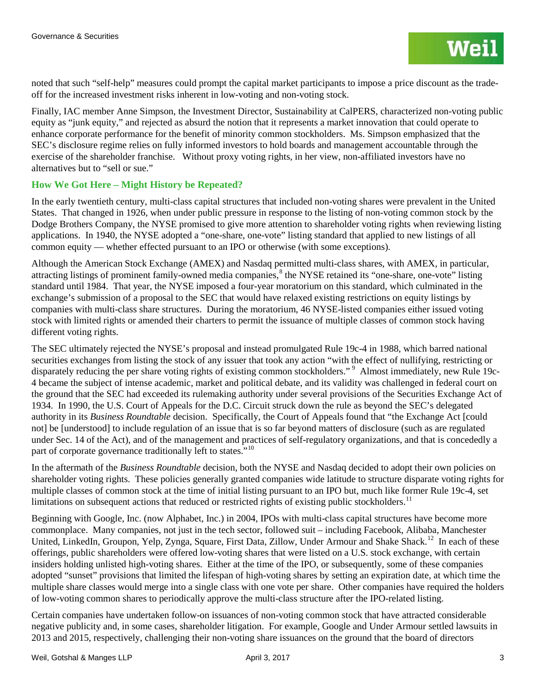noted that such "self-help" measures could prompt the capital market participants to impose a price discount as the tradeoff for the increased investment risks inherent in low-voting and non-voting stock.

Finally, IAC member Anne Simpson, the Investment Director, Sustainability at CalPERS, characterized non-voting public equity as "junk equity," and rejected as absurd the notion that it represents a market innovation that could operate to enhance corporate performance for the benefit of minority common stockholders. Ms. Simpson emphasized that the SEC's disclosure regime relies on fully informed investors to hold boards and management accountable through the exercise of the shareholder franchise. Without proxy voting rights, in her view, non-affiliated investors have no alternatives but to "sell or sue."

### **How We Got Here – Might History be Repeated?**

In the early twentieth century, multi-class capital structures that included non-voting shares were prevalent in the United States. That changed in 1926, when under public pressure in response to the listing of non-voting common stock by the Dodge Brothers Company, the NYSE promised to give more attention to shareholder voting rights when reviewing listing applications. In 1940, the NYSE adopted a "one-share, one-vote" listing standard that applied to new listings of all common equity — whether effected pursuant to an IPO or otherwise (with some exceptions).

Although the American Stock Exchange (AMEX) and Nasdaq permitted multi-class shares, with AMEX, in particular, attracting listings of prominent family-owned media companies,<sup>[8](#page-5-7)</sup> the NYSE retained its "one-share, one-vote" listing standard until 1984. That year, the NYSE imposed a four-year moratorium on this standard, which culminated in the exchange's submission of a proposal to the SEC that would have relaxed existing restrictions on equity listings by companies with multi-class share structures. During the moratorium, 46 NYSE-listed companies either issued voting stock with limited rights or amended their charters to permit the issuance of multiple classes of common stock having different voting rights.

The SEC ultimately rejected the NYSE's proposal and instead promulgated Rule 19c-4 in 1988, which barred national securities exchanges from listing the stock of any issuer that took any action "with the effect of nullifying, restricting or disparately reducing the per share voting rights of existing common stockholders."<sup>[9](#page-5-8)</sup> Almost immediately, new Rule 19c-4 became the subject of intense academic, market and political debate, and its validity was challenged in federal court on the ground that the SEC had exceeded its rulemaking authority under several provisions of the Securities Exchange Act of 1934. In 1990, the U.S. Court of Appeals for the D.C. Circuit struck down the rule as beyond the SEC's delegated authority in its *Business Roundtable* decision. Specifically, the Court of Appeals found that "the Exchange Act [could not] be [understood] to include regulation of an issue that is so far beyond matters of disclosure (such as are regulated under Sec. 14 of the Act), and of the management and practices of self-regulatory organizations, and that is concededly a part of corporate governance traditionally left to states."<sup>[10](#page-5-9)</sup>

In the aftermath of the *Business Roundtable* decision, both the NYSE and Nasdaq decided to adopt their own policies on shareholder voting rights. These policies generally granted companies wide latitude to structure disparate voting rights for multiple classes of common stock at the time of initial listing pursuant to an IPO but, much like former Rule 19c-4, set limitations on subsequent actions that reduced or restricted rights of existing public stockholders.<sup>[11](#page-5-10)</sup>

Beginning with Google, Inc. (now Alphabet, Inc.) in 2004, IPOs with multi-class capital structures have become more commonplace. Many companies, not just in the tech sector, followed suit – including Facebook, Alibaba, Manchester United, LinkedIn, Groupon, Yelp, Zynga, Square, First Data, Zillow, Under Armour and Shake Shack.<sup>12</sup> In each of these offerings, public shareholders were offered low-voting shares that were listed on a U.S. stock exchange, with certain insiders holding unlisted high-voting shares. Either at the time of the IPO, or subsequently, some of these companies adopted "sunset" provisions that limited the lifespan of high-voting shares by setting an expiration date, at which time the multiple share classes would merge into a single class with one vote per share. Other companies have required the holders of low-voting common shares to periodically approve the multi-class structure after the IPO-related listing.

Certain companies have undertaken follow-on issuances of non-voting common stock that have attracted considerable negative publicity and, in some cases, shareholder litigation. For example, Google and Under Armour settled lawsuits in 2013 and 2015, respectively, challenging their non-voting share issuances on the ground that the board of directors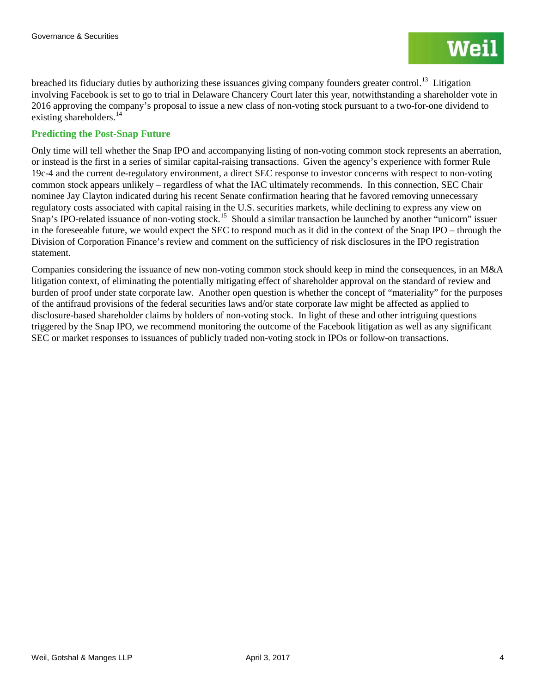breached its fiduciary duties by authorizing these issuances giving company founders greater control.<sup>[13](#page-5-12)</sup> Litigation involving Facebook is set to go to trial in Delaware Chancery Court later this year, notwithstanding a shareholder vote in 2016 approving the company's proposal to issue a new class of non-voting stock pursuant to a two-for-one dividend to existing shareholders. $14$ 

## **Predicting the Post-Snap Future**

Only time will tell whether the Snap IPO and accompanying listing of non-voting common stock represents an aberration, or instead is the first in a series of similar capital-raising transactions. Given the agency's experience with former Rule 19c-4 and the current de-regulatory environment, a direct SEC response to investor concerns with respect to non-voting common stock appears unlikely – regardless of what the IAC ultimately recommends. In this connection, SEC Chair nominee Jay Clayton indicated during his recent Senate confirmation hearing that he favored removing unnecessary regulatory costs associated with capital raising in the U.S. securities markets, while declining to express any view on Snap's IPO-related issuance of non-voting stock.<sup>[15](#page-5-14)</sup> Should a similar transaction be launched by another "unicorn" issuer in the foreseeable future, we would expect the SEC to respond much as it did in the context of the Snap IPO – through the Division of Corporation Finance's review and comment on the sufficiency of risk disclosures in the IPO registration statement.

Companies considering the issuance of new non-voting common stock should keep in mind the consequences, in an M&A litigation context, of eliminating the potentially mitigating effect of shareholder approval on the standard of review and burden of proof under state corporate law. Another open question is whether the concept of "materiality" for the purposes of the antifraud provisions of the federal securities laws and/or state corporate law might be affected as applied to disclosure-based shareholder claims by holders of non-voting stock. In light of these and other intriguing questions triggered by the Snap IPO, we recommend monitoring the outcome of the Facebook litigation as well as any significant SEC or market responses to issuances of publicly traded non-voting stock in IPOs or follow-on transactions.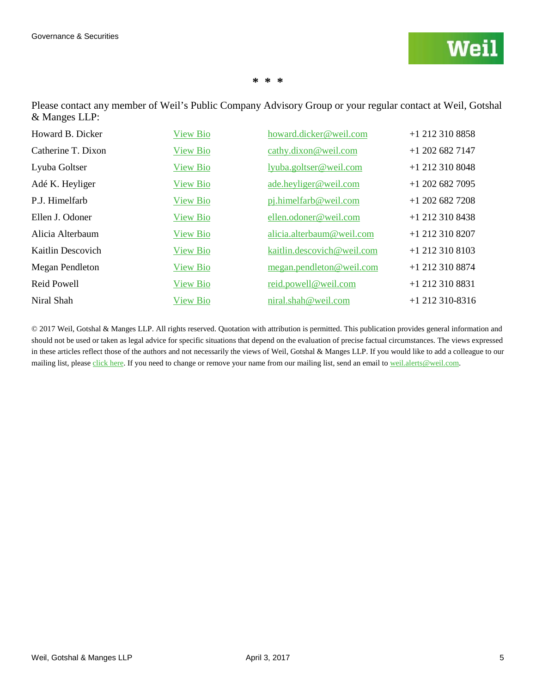#### **\* \* \***

Please contact any member of Weil's Public Company Advisory Group or your regular contact at Weil, Gotshal & Manges LLP:

| Howard B. Dicker   | <b>View Bio</b> | howard.dicker@weil.com     | +1 212 310 8858   |
|--------------------|-----------------|----------------------------|-------------------|
| Catherine T. Dixon | <b>View Bio</b> | cathy.dixon@weil.com       | $+1$ 202 682 7147 |
| Lyuba Goltser      | <b>View Bio</b> | lyuba.goltser@weil.com     | $+1$ 212 310 8048 |
| Adé K. Heyliger    | <b>View Bio</b> | ade.heyliger@weil.com      | $+1$ 202 682 7095 |
| P.J. Himelfarb     | <b>View Bio</b> | pj.himelfarb@weil.com      | $+1$ 202 682 7208 |
| Ellen J. Odoner    | <b>View Bio</b> | ellen.odoner@weil.com      | $+1$ 212 310 8438 |
| Alicia Alterbaum   | <b>View Bio</b> | alicia.alterbaum@weil.com  | +1 212 310 8207   |
| Kaitlin Descovich  | <b>View Bio</b> | kaitlin.descovich@weil.com | $+1$ 212 310 8103 |
| Megan Pendleton    | <b>View Bio</b> | megan.pendleton@weil.com   | +1 212 310 8874   |
| Reid Powell        | <b>View Bio</b> | reid.powell@weil.com       | +1 212 310 8831   |
| Niral Shah         | <b>View Bio</b> | niral.shah@weil.com        | $+1$ 212 310-8316 |

© 2017 Weil, Gotshal & Manges LLP. All rights reserved. Quotation with attribution is permitted. This publication provides general information and should not be used or taken as legal advice for specific situations that depend on the evaluation of precise factual circumstances. The views expressed in these articles reflect those of the authors and not necessarily the views of Weil, Gotshal & Manges LLP. If you would like to add a colleague to our mailing list, please [click](http://www.weil.com/subscription) here. If you need to change or remove your name from our mailing list, send an email t[o weil.alerts@weil.com.](mailto:weil.alerts@weil.com)